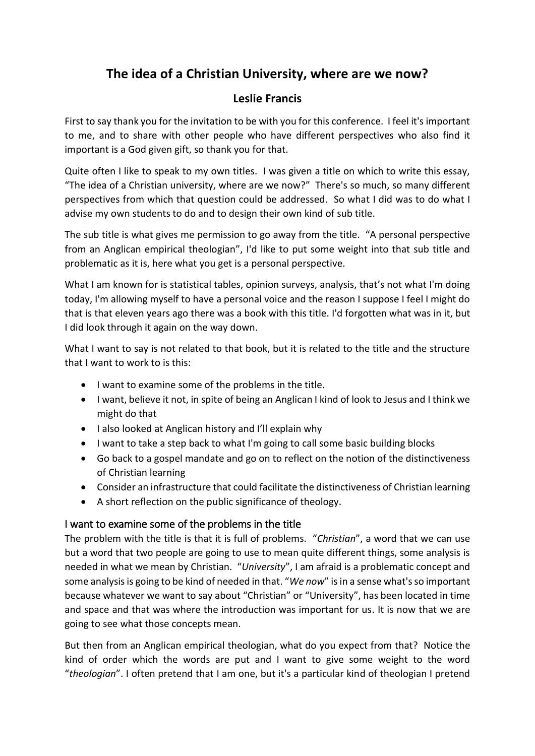# **The idea of a Christian University, where are we now?**

# **Leslie Francis**

First to say thank you for the invitation to be with you for this conference. I feel it's important to me, and to share with other people who have different perspectives who also find it important is a God given gift, so thank you for that.

Quite often I like to speak to my own titles. I was given a title on which to write this essay, "The idea of a Christian university, where are we now?" There's so much, so many different perspectives from which that question could be addressed. So what I did was to do what I advise my own students to do and to design their own kind of sub title.

The sub title is what gives me permission to go away from the title. "A personal perspective from an Anglican empirical theologian", I'd like to put some weight into that sub title and problematic as it is, here what you get is a personal perspective.

What I am known for is statistical tables, opinion surveys, analysis, that's not what I'm doing today, I'm allowing myself to have a personal voice and the reason I suppose I feel I might do that is that eleven years ago there was a book with this title. I'd forgotten what was in it, but I did look through it again on the way down.

What I want to say is not related to that book, but it is related to the title and the structure that I want to work to is this:

- I want to examine some of the problems in the title.
- I want, believe it not, in spite of being an Anglican I kind of look to Jesus and I think we might do that
- I also looked at Anglican history and I'll explain why
- I want to take a step back to what I'm going to call some basic building blocks
- Go back to a gospel mandate and go on to reflect on the notion of the distinctiveness of Christian learning
- Consider an infrastructure that could facilitate the distinctiveness of Christian learning
- A short reflection on the public significance of theology.

# I want to examine some of the problems in the title

The problem with the title is that it is full of problems. "*Christian*", a word that we can use but a word that two people are going to use to mean quite different things, some analysis is needed in what we mean by Christian. "*University*", I am afraid is a problematic concept and some analysis is going to be kind of needed in that. "*We now*" is in a sense what's so important because whatever we want to say about "Christian" or "University", has been located in time and space and that was where the introduction was important for us. It is now that we are going to see what those concepts mean.

But then from an Anglican empirical theologian, what do you expect from that? Notice the kind of order which the words are put and I want to give some weight to the word "*theologian*". I often pretend that I am one, but it's a particular kind of theologian I pretend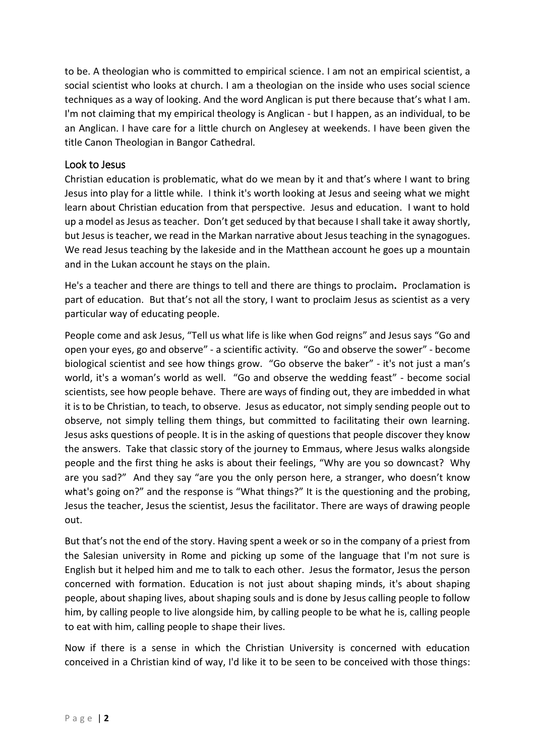to be. A theologian who is committed to empirical science. I am not an empirical scientist, a social scientist who looks at church. I am a theologian on the inside who uses social science techniques as a way of looking. And the word Anglican is put there because that's what I am. I'm not claiming that my empirical theology is Anglican - but I happen, as an individual, to be an Anglican. I have care for a little church on Anglesey at weekends. I have been given the title Canon Theologian in Bangor Cathedral*.*

### Look to Jesus

Christian education is problematic, what do we mean by it and that's where I want to bring Jesus into play for a little while. I think it's worth looking at Jesus and seeing what we might learn about Christian education from that perspective. Jesus and education. I want to hold up a model as Jesus as teacher. Don't get seduced by that because I shall take it away shortly, but Jesus is teacher, we read in the Markan narrative about Jesus teaching in the synagogues. We read Jesus teaching by the lakeside and in the Matthean account he goes up a mountain and in the Lukan account he stays on the plain.

He's a teacher and there are things to tell and there are things to proclaim**.** Proclamation is part of education. But that's not all the story, I want to proclaim Jesus as scientist as a very particular way of educating people.

People come and ask Jesus, "Tell us what life is like when God reigns" and Jesus says "Go and open your eyes, go and observe" - a scientific activity. "Go and observe the sower" - become biological scientist and see how things grow. "Go observe the baker" - it's not just a man's world, it's a woman's world as well. "Go and observe the wedding feast" - become social scientists, see how people behave. There are ways of finding out, they are imbedded in what it is to be Christian, to teach, to observe. Jesus as educator, not simply sending people out to observe, not simply telling them things, but committed to facilitating their own learning. Jesus asks questions of people. It is in the asking of questions that people discover they know the answers. Take that classic story of the journey to Emmaus, where Jesus walks alongside people and the first thing he asks is about their feelings, "Why are you so downcast? Why are you sad?" And they say "are you the only person here, a stranger, who doesn't know what's going on?" and the response is "What things?" It is the questioning and the probing, Jesus the teacher, Jesus the scientist, Jesus the facilitator. There are ways of drawing people out.

But that's not the end of the story. Having spent a week or so in the company of a priest from the Salesian university in Rome and picking up some of the language that I'm not sure is English but it helped him and me to talk to each other. Jesus the formator, Jesus the person concerned with formation. Education is not just about shaping minds, it's about shaping people, about shaping lives, about shaping souls and is done by Jesus calling people to follow him, by calling people to live alongside him, by calling people to be what he is, calling people to eat with him, calling people to shape their lives.

Now if there is a sense in which the Christian University is concerned with education conceived in a Christian kind of way, I'd like it to be seen to be conceived with those things: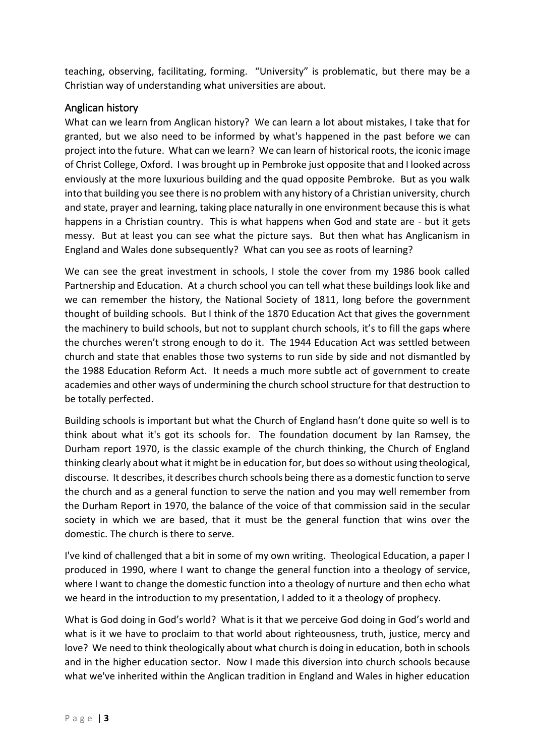teaching, observing, facilitating, forming. "University" is problematic, but there may be a Christian way of understanding what universities are about.

# Anglican history

What can we learn from Anglican history? We can learn a lot about mistakes, I take that for granted, but we also need to be informed by what's happened in the past before we can project into the future. What can we learn? We can learn of historical roots, the iconic image of Christ College, Oxford. I was brought up in Pembroke just opposite that and I looked across enviously at the more luxurious building and the quad opposite Pembroke. But as you walk into that building you see there is no problem with any history of a Christian university, church and state, prayer and learning, taking place naturally in one environment because this is what happens in a Christian country. This is what happens when God and state are - but it gets messy. But at least you can see what the picture says. But then what has Anglicanism in England and Wales done subsequently? What can you see as roots of learning?

We can see the great investment in schools, I stole the cover from my 1986 book called Partnership and Education. At a church school you can tell what these buildings look like and we can remember the history, the National Society of 1811, long before the government thought of building schools. But I think of the 1870 Education Act that gives the government the machinery to build schools, but not to supplant church schools, it's to fill the gaps where the churches weren't strong enough to do it. The 1944 Education Act was settled between church and state that enables those two systems to run side by side and not dismantled by the 1988 Education Reform Act. It needs a much more subtle act of government to create academies and other ways of undermining the church school structure for that destruction to be totally perfected.

Building schools is important but what the Church of England hasn't done quite so well is to think about what it's got its schools for. The foundation document by Ian Ramsey, the Durham report 1970, is the classic example of the church thinking, the Church of England thinking clearly about what it might be in education for, but does so without using theological, discourse. It describes, it describes church schools being there as a domestic function to serve the church and as a general function to serve the nation and you may well remember from the Durham Report in 1970, the balance of the voice of that commission said in the secular society in which we are based, that it must be the general function that wins over the domestic. The church is there to serve.

I've kind of challenged that a bit in some of my own writing. Theological Education, a paper I produced in 1990, where I want to change the general function into a theology of service, where I want to change the domestic function into a theology of nurture and then echo what we heard in the introduction to my presentation, I added to it a theology of prophecy.

What is God doing in God's world? What is it that we perceive God doing in God's world and what is it we have to proclaim to that world about righteousness, truth, justice, mercy and love? We need to think theologically about what church is doing in education, both in schools and in the higher education sector. Now I made this diversion into church schools because what we've inherited within the Anglican tradition in England and Wales in higher education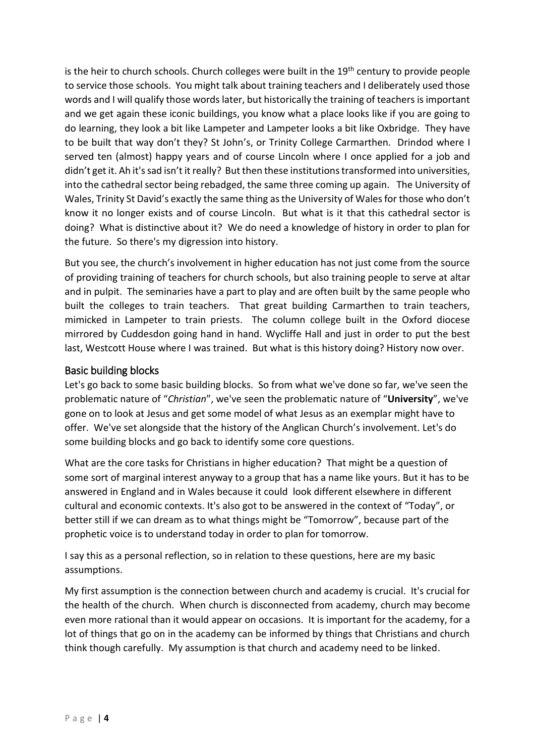is the heir to church schools. Church colleges were built in the  $19<sup>th</sup>$  century to provide people to service those schools. You might talk about training teachers and I deliberately used those words and I will qualify those words later, but historically the training of teachers is important and we get again these iconic buildings, you know what a place looks like if you are going to do learning, they look a bit like Lampeter and Lampeter looks a bit like Oxbridge. They have to be built that way don't they? St John's, or Trinity College Carmarthen. Drindod where I served ten (almost) happy years and of course Lincoln where I once applied for a job and didn't get it. Ah it's sad isn't it really? But then these institutions transformed into universities, into the cathedral sector being rebadged, the same three coming up again. The University of Wales, Trinity St David's exactly the same thing as the University of Wales for those who don't know it no longer exists and of course Lincoln. But what is it that this cathedral sector is doing? What is distinctive about it? We do need a knowledge of history in order to plan for the future. So there's my digression into history.

But you see, the church's involvement in higher education has not just come from the source of providing training of teachers for church schools, but also training people to serve at altar and in pulpit. The seminaries have a part to play and are often built by the same people who built the colleges to train teachers. That great building Carmarthen to train teachers, mimicked in Lampeter to train priests. The column college built in the Oxford diocese mirrored by Cuddesdon going hand in hand. Wycliffe Hall and just in order to put the best last, Westcott House where I was trained. But what is this history doing? History now over.

### Basic building blocks

Let's go back to some basic building blocks. So from what we've done so far, we've seen the problematic nature of "*Christian*", we've seen the problematic nature of "**University**", we've gone on to look at Jesus and get some model of what Jesus as an exemplar might have to offer. We've set alongside that the history of the Anglican Church's involvement. Let's do some building blocks and go back to identify some core questions.

What are the core tasks for Christians in higher education? That might be a question of some sort of marginal interest anyway to a group that has a name like yours. But it has to be answered in England and in Wales because it could look different elsewhere in different cultural and economic contexts. It's also got to be answered in the context of "Today", or better still if we can dream as to what things might be "Tomorrow", because part of the prophetic voice is to understand today in order to plan for tomorrow.

I say this as a personal reflection, so in relation to these questions, here are my basic assumptions.

My first assumption is the connection between church and academy is crucial. It's crucial for the health of the church. When church is disconnected from academy, church may become even more rational than it would appear on occasions. It is important for the academy, for a lot of things that go on in the academy can be informed by things that Christians and church think though carefully. My assumption is that church and academy need to be linked.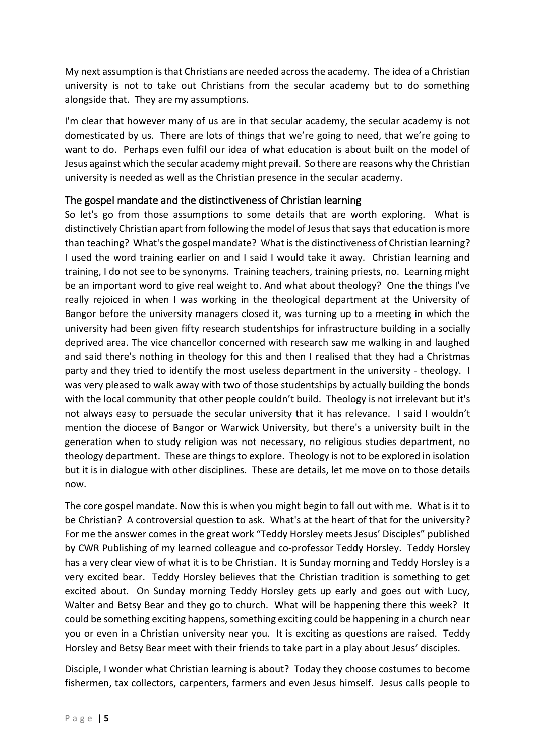My next assumption is that Christians are needed across the academy. The idea of a Christian university is not to take out Christians from the secular academy but to do something alongside that. They are my assumptions.

I'm clear that however many of us are in that secular academy, the secular academy is not domesticated by us. There are lots of things that we're going to need, that we're going to want to do. Perhaps even fulfil our idea of what education is about built on the model of Jesus against which the secular academy might prevail. So there are reasons why the Christian university is needed as well as the Christian presence in the secular academy.

# The gospel mandate and the distinctiveness of Christian learning

So let's go from those assumptions to some details that are worth exploring. What is distinctively Christian apart from following the model of Jesus that says that education is more than teaching? What's the gospel mandate? What is the distinctiveness of Christian learning? I used the word training earlier on and I said I would take it away. Christian learning and training, I do not see to be synonyms. Training teachers, training priests, no. Learning might be an important word to give real weight to. And what about theology? One the things I've really rejoiced in when I was working in the theological department at the University of Bangor before the university managers closed it, was turning up to a meeting in which the university had been given fifty research studentships for infrastructure building in a socially deprived area. The vice chancellor concerned with research saw me walking in and laughed and said there's nothing in theology for this and then I realised that they had a Christmas party and they tried to identify the most useless department in the university - theology. I was very pleased to walk away with two of those studentships by actually building the bonds with the local community that other people couldn't build. Theology is not irrelevant but it's not always easy to persuade the secular university that it has relevance. I said I wouldn't mention the diocese of Bangor or Warwick University, but there's a university built in the generation when to study religion was not necessary, no religious studies department, no theology department. These are things to explore. Theology is not to be explored in isolation but it is in dialogue with other disciplines. These are details, let me move on to those details now.

The core gospel mandate. Now this is when you might begin to fall out with me. What is it to be Christian? A controversial question to ask. What's at the heart of that for the university? For me the answer comes in the great work "Teddy Horsley meets Jesus' Disciples" published by CWR Publishing of my learned colleague and co-professor Teddy Horsley. Teddy Horsley has a very clear view of what it is to be Christian. It is Sunday morning and Teddy Horsley is a very excited bear. Teddy Horsley believes that the Christian tradition is something to get excited about. On Sunday morning Teddy Horsley gets up early and goes out with Lucy, Walter and Betsy Bear and they go to church. What will be happening there this week? It could be something exciting happens, something exciting could be happening in a church near you or even in a Christian university near you. It is exciting as questions are raised. Teddy Horsley and Betsy Bear meet with their friends to take part in a play about Jesus' disciples.

Disciple, I wonder what Christian learning is about? Today they choose costumes to become fishermen, tax collectors, carpenters, farmers and even Jesus himself. Jesus calls people to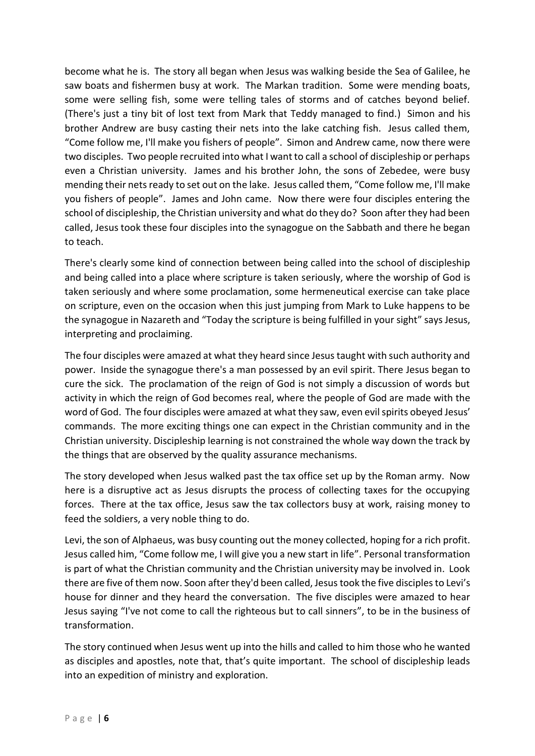become what he is. The story all began when Jesus was walking beside the Sea of Galilee, he saw boats and fishermen busy at work. The Markan tradition. Some were mending boats, some were selling fish, some were telling tales of storms and of catches beyond belief. (There's just a tiny bit of lost text from Mark that Teddy managed to find.) Simon and his brother Andrew are busy casting their nets into the lake catching fish. Jesus called them, "Come follow me, I'll make you fishers of people". Simon and Andrew came, now there were two disciples. Two people recruited into what I want to call a school of discipleship or perhaps even a Christian university. James and his brother John, the sons of Zebedee, were busy mending their nets ready to set out on the lake. Jesus called them, "Come follow me, I'll make you fishers of people". James and John came. Now there were four disciples entering the school of discipleship, the Christian university and what do they do? Soon after they had been called, Jesus took these four disciples into the synagogue on the Sabbath and there he began to teach.

There's clearly some kind of connection between being called into the school of discipleship and being called into a place where scripture is taken seriously, where the worship of God is taken seriously and where some proclamation, some hermeneutical exercise can take place on scripture, even on the occasion when this just jumping from Mark to Luke happens to be the synagogue in Nazareth and "Today the scripture is being fulfilled in your sight" says Jesus, interpreting and proclaiming.

The four disciples were amazed at what they heard since Jesus taught with such authority and power. Inside the synagogue there's a man possessed by an evil spirit. There Jesus began to cure the sick. The proclamation of the reign of God is not simply a discussion of words but activity in which the reign of God becomes real, where the people of God are made with the word of God. The four disciples were amazed at what they saw, even evil spirits obeyed Jesus' commands. The more exciting things one can expect in the Christian community and in the Christian university. Discipleship learning is not constrained the whole way down the track by the things that are observed by the quality assurance mechanisms.

The story developed when Jesus walked past the tax office set up by the Roman army. Now here is a disruptive act as Jesus disrupts the process of collecting taxes for the occupying forces. There at the tax office, Jesus saw the tax collectors busy at work, raising money to feed the soldiers, a very noble thing to do.

Levi, the son of Alphaeus, was busy counting out the money collected, hoping for a rich profit. Jesus called him, "Come follow me, I will give you a new start in life". Personal transformation is part of what the Christian community and the Christian university may be involved in. Look there are five of them now. Soon after they'd been called, Jesus took the five disciples to Levi's house for dinner and they heard the conversation. The five disciples were amazed to hear Jesus saying "I've not come to call the righteous but to call sinners", to be in the business of transformation.

The story continued when Jesus went up into the hills and called to him those who he wanted as disciples and apostles, note that, that's quite important. The school of discipleship leads into an expedition of ministry and exploration.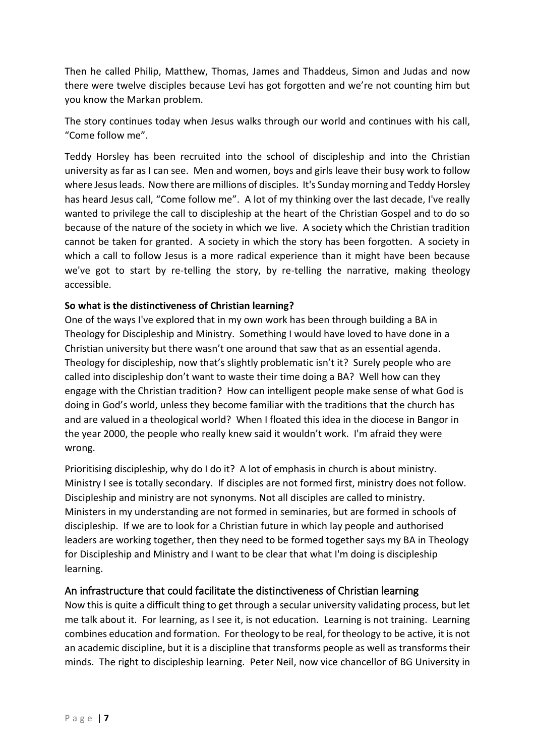Then he called Philip, Matthew, Thomas, James and Thaddeus, Simon and Judas and now there were twelve disciples because Levi has got forgotten and we're not counting him but you know the Markan problem.

The story continues today when Jesus walks through our world and continues with his call, "Come follow me".

Teddy Horsley has been recruited into the school of discipleship and into the Christian university as far as I can see. Men and women, boys and girls leave their busy work to follow where Jesus leads. Now there are millions of disciples. It's Sunday morning and Teddy Horsley has heard Jesus call, "Come follow me". A lot of my thinking over the last decade, I've really wanted to privilege the call to discipleship at the heart of the Christian Gospel and to do so because of the nature of the society in which we live. A society which the Christian tradition cannot be taken for granted. A society in which the story has been forgotten. A society in which a call to follow Jesus is a more radical experience than it might have been because we've got to start by re-telling the story, by re-telling the narrative, making theology accessible.

### **So what is the distinctiveness of Christian learning?**

One of the ways I've explored that in my own work has been through building a BA in Theology for Discipleship and Ministry. Something I would have loved to have done in a Christian university but there wasn't one around that saw that as an essential agenda. Theology for discipleship, now that's slightly problematic isn't it? Surely people who are called into discipleship don't want to waste their time doing a BA? Well how can they engage with the Christian tradition? How can intelligent people make sense of what God is doing in God's world, unless they become familiar with the traditions that the church has and are valued in a theological world? When I floated this idea in the diocese in Bangor in the year 2000, the people who really knew said it wouldn't work. I'm afraid they were wrong.

Prioritising discipleship, why do I do it? A lot of emphasis in church is about ministry. Ministry I see is totally secondary. If disciples are not formed first, ministry does not follow. Discipleship and ministry are not synonyms. Not all disciples are called to ministry. Ministers in my understanding are not formed in seminaries, but are formed in schools of discipleship. If we are to look for a Christian future in which lay people and authorised leaders are working together, then they need to be formed together says my BA in Theology for Discipleship and Ministry and I want to be clear that what I'm doing is discipleship learning.

### An infrastructure that could facilitate the distinctiveness of Christian learning

Now this is quite a difficult thing to get through a secular university validating process, but let me talk about it. For learning, as I see it, is not education. Learning is not training. Learning combines education and formation. For theology to be real, for theology to be active, it is not an academic discipline, but it is a discipline that transforms people as well as transforms their minds. The right to discipleship learning. Peter Neil, now vice chancellor of BG University in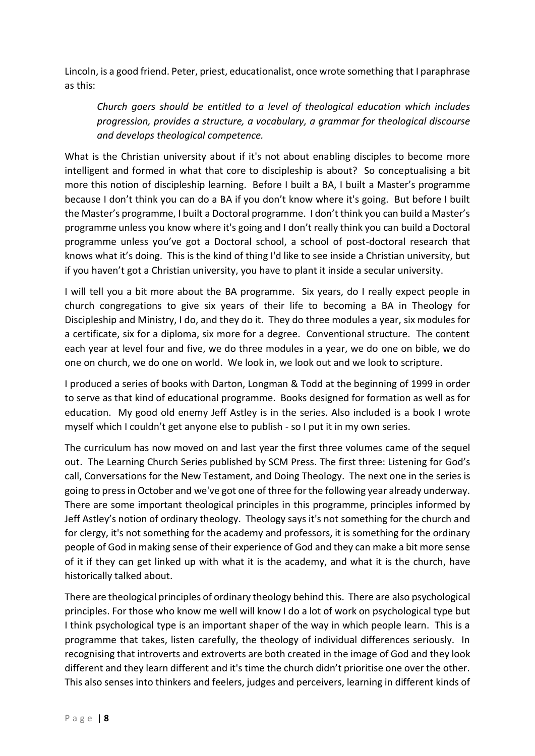Lincoln, is a good friend. Peter, priest, educationalist, once wrote something that I paraphrase as this:

*Church goers should be entitled to a level of theological education which includes progression, provides a structure, a vocabulary, a grammar for theological discourse and develops theological competence.*

What is the Christian university about if it's not about enabling disciples to become more intelligent and formed in what that core to discipleship is about? So conceptualising a bit more this notion of discipleship learning. Before I built a BA, I built a Master's programme because I don't think you can do a BA if you don't know where it's going. But before I built the Master's programme, I built a Doctoral programme. I don't think you can build a Master's programme unless you know where it's going and I don't really think you can build a Doctoral programme unless you've got a Doctoral school, a school of post-doctoral research that knows what it's doing. This is the kind of thing I'd like to see inside a Christian university, but if you haven't got a Christian university, you have to plant it inside a secular university.

I will tell you a bit more about the BA programme. Six years, do I really expect people in church congregations to give six years of their life to becoming a BA in Theology for Discipleship and Ministry, I do, and they do it. They do three modules a year, six modules for a certificate, six for a diploma, six more for a degree. Conventional structure. The content each year at level four and five, we do three modules in a year, we do one on bible, we do one on church, we do one on world. We look in, we look out and we look to scripture.

I produced a series of books with Darton, Longman & Todd at the beginning of 1999 in order to serve as that kind of educational programme. Books designed for formation as well as for education. My good old enemy Jeff Astley is in the series. Also included is a book I wrote myself which I couldn't get anyone else to publish - so I put it in my own series.

The curriculum has now moved on and last year the first three volumes came of the sequel out. The Learning Church Series published by SCM Press. The first three: Listening for God's call, Conversations for the New Testament, and Doing Theology. The next one in the series is going to press in October and we've got one of three for the following year already underway. There are some important theological principles in this programme, principles informed by Jeff Astley's notion of ordinary theology. Theology says it's not something for the church and for clergy, it's not something for the academy and professors, it is something for the ordinary people of God in making sense of their experience of God and they can make a bit more sense of it if they can get linked up with what it is the academy, and what it is the church, have historically talked about.

There are theological principles of ordinary theology behind this. There are also psychological principles. For those who know me well will know I do a lot of work on psychological type but I think psychological type is an important shaper of the way in which people learn. This is a programme that takes, listen carefully, the theology of individual differences seriously. In recognising that introverts and extroverts are both created in the image of God and they look different and they learn different and it's time the church didn't prioritise one over the other. This also senses into thinkers and feelers, judges and perceivers, learning in different kinds of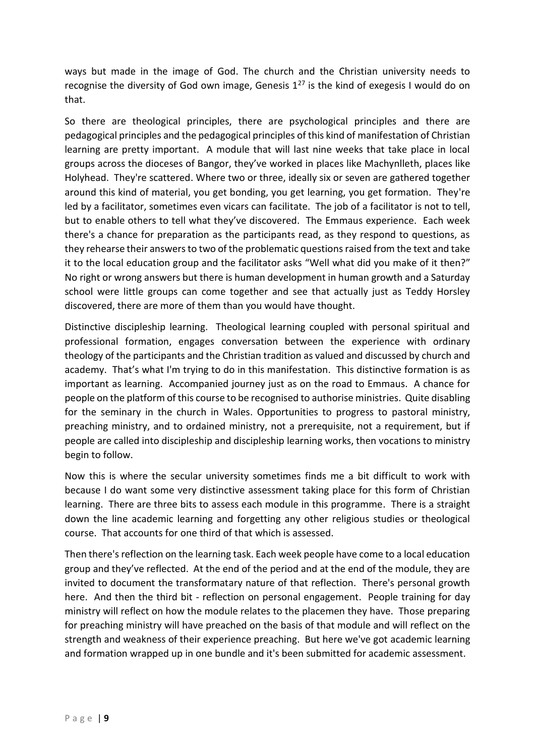ways but made in the image of God. The church and the Christian university needs to recognise the diversity of God own image, Genesis  $1^{27}$  is the kind of exegesis I would do on that.

So there are theological principles, there are psychological principles and there are pedagogical principles and the pedagogical principles of this kind of manifestation of Christian learning are pretty important. A module that will last nine weeks that take place in local groups across the dioceses of Bangor, they've worked in places like Machynlleth, places like Holyhead. They're scattered. Where two or three, ideally six or seven are gathered together around this kind of material, you get bonding, you get learning, you get formation. They're led by a facilitator, sometimes even vicars can facilitate. The job of a facilitator is not to tell, but to enable others to tell what they've discovered. The Emmaus experience. Each week there's a chance for preparation as the participants read, as they respond to questions, as they rehearse their answers to two of the problematic questions raised from the text and take it to the local education group and the facilitator asks "Well what did you make of it then?" No right or wrong answers but there is human development in human growth and a Saturday school were little groups can come together and see that actually just as Teddy Horsley discovered, there are more of them than you would have thought.

Distinctive discipleship learning. Theological learning coupled with personal spiritual and professional formation, engages conversation between the experience with ordinary theology of the participants and the Christian tradition as valued and discussed by church and academy. That's what I'm trying to do in this manifestation. This distinctive formation is as important as learning. Accompanied journey just as on the road to Emmaus. A chance for people on the platform of this course to be recognised to authorise ministries. Quite disabling for the seminary in the church in Wales. Opportunities to progress to pastoral ministry, preaching ministry, and to ordained ministry, not a prerequisite, not a requirement, but if people are called into discipleship and discipleship learning works, then vocations to ministry begin to follow.

Now this is where the secular university sometimes finds me a bit difficult to work with because I do want some very distinctive assessment taking place for this form of Christian learning. There are three bits to assess each module in this programme. There is a straight down the line academic learning and forgetting any other religious studies or theological course. That accounts for one third of that which is assessed.

Then there's reflection on the learning task. Each week people have come to a local education group and they've reflected. At the end of the period and at the end of the module, they are invited to document the transformatary nature of that reflection. There's personal growth here. And then the third bit - reflection on personal engagement. People training for day ministry will reflect on how the module relates to the placemen they have. Those preparing for preaching ministry will have preached on the basis of that module and will reflect on the strength and weakness of their experience preaching. But here we've got academic learning and formation wrapped up in one bundle and it's been submitted for academic assessment.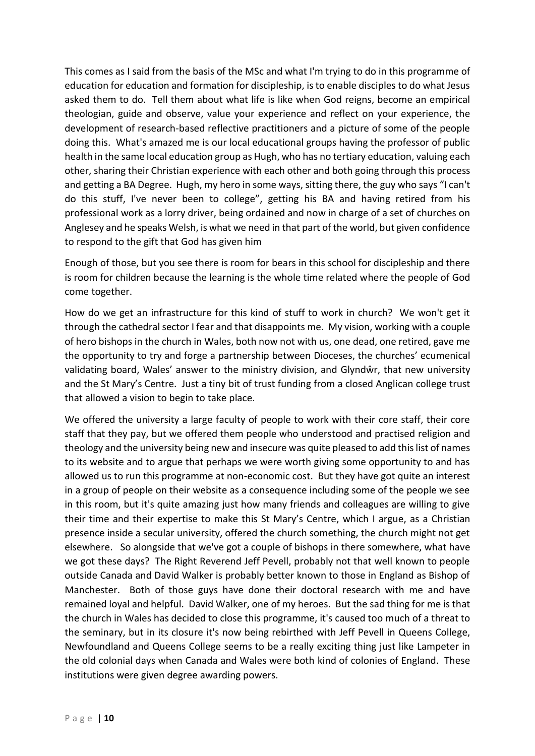This comes as I said from the basis of the MSc and what I'm trying to do in this programme of education for education and formation for discipleship, is to enable disciples to do what Jesus asked them to do. Tell them about what life is like when God reigns, become an empirical theologian, guide and observe, value your experience and reflect on your experience, the development of research-based reflective practitioners and a picture of some of the people doing this. What's amazed me is our local educational groups having the professor of public health in the same local education group as Hugh, who has no tertiary education, valuing each other, sharing their Christian experience with each other and both going through this process and getting a BA Degree. Hugh, my hero in some ways, sitting there, the guy who says "I can't do this stuff, I've never been to college", getting his BA and having retired from his professional work as a lorry driver, being ordained and now in charge of a set of churches on Anglesey and he speaks Welsh, is what we need in that part of the world, but given confidence to respond to the gift that God has given him

Enough of those, but you see there is room for bears in this school for discipleship and there is room for children because the learning is the whole time related where the people of God come together.

How do we get an infrastructure for this kind of stuff to work in church? We won't get it through the cathedral sector I fear and that disappoints me. My vision, working with a couple of hero bishops in the church in Wales, both now not with us, one dead, one retired, gave me the opportunity to try and forge a partnership between Dioceses, the churches' ecumenical validating board, Wales' answer to the ministry division, and Glyndŵr, that new university and the St Mary's Centre. Just a tiny bit of trust funding from a closed Anglican college trust that allowed a vision to begin to take place.

We offered the university a large faculty of people to work with their core staff, their core staff that they pay, but we offered them people who understood and practised religion and theology and the university being new and insecure was quite pleased to add this list of names to its website and to argue that perhaps we were worth giving some opportunity to and has allowed us to run this programme at non-economic cost. But they have got quite an interest in a group of people on their website as a consequence including some of the people we see in this room, but it's quite amazing just how many friends and colleagues are willing to give their time and their expertise to make this St Mary's Centre, which I argue, as a Christian presence inside a secular university, offered the church something, the church might not get elsewhere. So alongside that we've got a couple of bishops in there somewhere, what have we got these days? The Right Reverend Jeff Pevell, probably not that well known to people outside Canada and David Walker is probably better known to those in England as Bishop of Manchester. Both of those guys have done their doctoral research with me and have remained loyal and helpful. David Walker, one of my heroes. But the sad thing for me is that the church in Wales has decided to close this programme, it's caused too much of a threat to the seminary, but in its closure it's now being rebirthed with Jeff Pevell in Queens College, Newfoundland and Queens College seems to be a really exciting thing just like Lampeter in the old colonial days when Canada and Wales were both kind of colonies of England. These institutions were given degree awarding powers.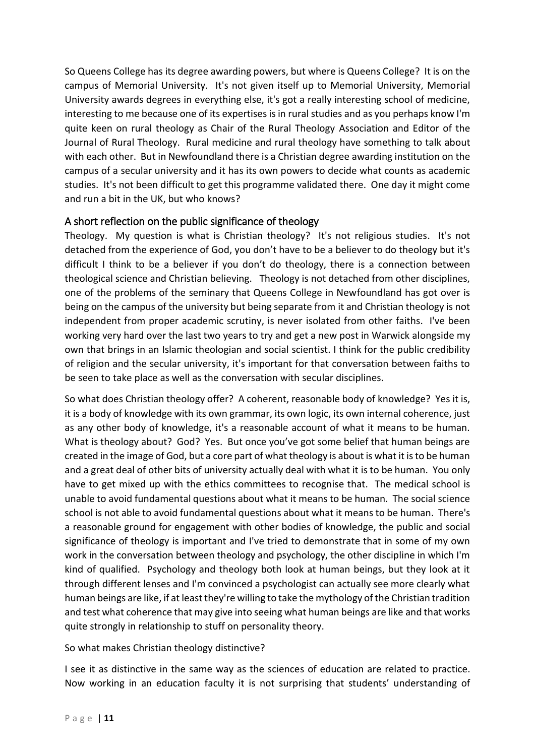So Queens College has its degree awarding powers, but where is Queens College? It is on the campus of Memorial University. It's not given itself up to Memorial University, Memorial University awards degrees in everything else, it's got a really interesting school of medicine, interesting to me because one of its expertises is in rural studies and as you perhaps know I'm quite keen on rural theology as Chair of the Rural Theology Association and Editor of the Journal of Rural Theology. Rural medicine and rural theology have something to talk about with each other. But in Newfoundland there is a Christian degree awarding institution on the campus of a secular university and it has its own powers to decide what counts as academic studies. It's not been difficult to get this programme validated there. One day it might come and run a bit in the UK, but who knows?

# A short reflection on the public significance of theology

Theology. My question is what is Christian theology? It's not religious studies. It's not detached from the experience of God, you don't have to be a believer to do theology but it's difficult I think to be a believer if you don't do theology, there is a connection between theological science and Christian believing. Theology is not detached from other disciplines, one of the problems of the seminary that Queens College in Newfoundland has got over is being on the campus of the university but being separate from it and Christian theology is not independent from proper academic scrutiny, is never isolated from other faiths. I've been working very hard over the last two years to try and get a new post in Warwick alongside my own that brings in an Islamic theologian and social scientist. I think for the public credibility of religion and the secular university, it's important for that conversation between faiths to be seen to take place as well as the conversation with secular disciplines.

So what does Christian theology offer? A coherent, reasonable body of knowledge? Yes it is, it is a body of knowledge with its own grammar, its own logic, its own internal coherence, just as any other body of knowledge, it's a reasonable account of what it means to be human. What is theology about? God? Yes. But once you've got some belief that human beings are created in the image of God, but a core part of what theology is about is what it is to be human and a great deal of other bits of university actually deal with what it is to be human. You only have to get mixed up with the ethics committees to recognise that. The medical school is unable to avoid fundamental questions about what it means to be human. The social science school is not able to avoid fundamental questions about what it means to be human. There's a reasonable ground for engagement with other bodies of knowledge, the public and social significance of theology is important and I've tried to demonstrate that in some of my own work in the conversation between theology and psychology, the other discipline in which I'm kind of qualified. Psychology and theology both look at human beings, but they look at it through different lenses and I'm convinced a psychologist can actually see more clearly what human beings are like, if at least they're willing to take the mythology of the Christian tradition and test what coherence that may give into seeing what human beings are like and that works quite strongly in relationship to stuff on personality theory.

So what makes Christian theology distinctive?

I see it as distinctive in the same way as the sciences of education are related to practice. Now working in an education faculty it is not surprising that students' understanding of